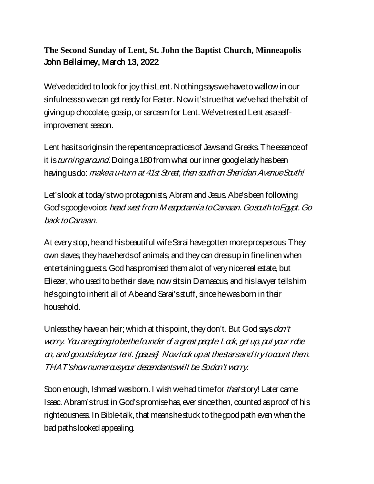## **The Second Sunday of Lent, St. John the Baptist Church, Minneapolis** John Bellaimey, March 13, 2022

We've decided to look for joy this Lent. Nothing says we have to wallow in our sinfulness so we can get ready for Easter. Now it's true that we've had the habit of giving up chocolate, gossip, or sarcasm for Lent. We've treated Lent as a selfimprovement season.

Lent has its origins in the repentance practices of Jews and Greeks. The essence of it is turning around. Doing a 180 from what our inner google lady has been having usdo: *makea u-turn at 41st Street, then south on Sheridan Avenue South!* 

Let's look at today's two protagonists, Abram and Jesus. Abe's been following God's google voice: head west from M espotamia to Canaan. Go south to Egypt. Go back to Canaan.

At every stop, he and his beautiful wife Sarai have gotten more prosperous. They own slaves, they have herds of animals, and they can dress up in fine linen when entertaining guests. God has promised them a lot of very nice real estate, but Eliezer, who used to be their slave, now sits in Damascus, and his lawyer tells him he's going to inherit all of Abe and Sarai's stuff, since he was born in their household.

Unless they have an heir; which at this point, they don't. But God says dan't wary. You aregoing to be the founder of a great people. Look, get up, put your robe on, and go outside your tent. {pause} Now look up at the stars and try to count them. THAT's how numerous your descendants will be. So don't worry.

Soon enough, Ishmael was born. I wish we had time for *that* story! Later came Isaac. Abram's trust in God's promise has, ever since then, counted as proof of his righteousness. In Bible-talk, that means he stuck to the good path even when the bad paths looked appealing.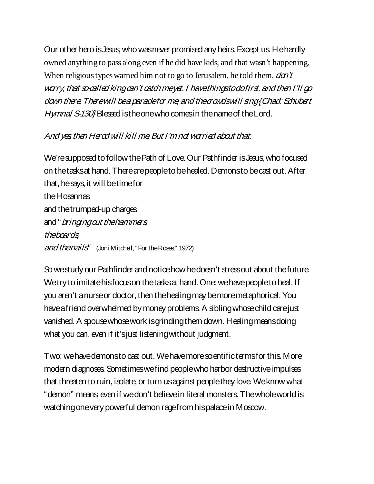Our other hero is Jesus, who was never promised any heirs. Except us. He hardly owned anything to pass along even if he did have kids, and that wasn't happening. When religious types warned him not to go to Jerusalem, he told them,  $d\sigma t'$ wary, that socalled king can't catch meyet. I have things to do first, and then I'll go down there. There will be a paradeforme and the arouds will sing {Chad: Schubert Hymnal S-130} Blessed is the one who comes in the name of the Lord.

## And yes then Herod will kill me But I'm not worried about that.

We're supposed to follow the Path of Love. Our Pathfinder is Jesus, who focused on the tasks at hand. There are people to be healed. Demons to be cast out. After that, he says, it will be time for the Hosannas and the trumped-up charges and "*bringing out the hammers* the boards and thenails" (Joni Mitchell, "For the Roses," 1972)

So we study our Pathfinder and notice how he doesn't stress out about the future. We try to imitate his focus on the tasks at hand. One: we have people to heal. If you aren't a nurse or doctor, then the healing may be more metaphorical. You have a friend overwhelmed by money problems. A sibling whose child care just vanished. A spouse whose work is grinding them down. Healing means doing what you can, even if it's just listening without judgment.

Two: we havedemons to cast out. We have more scientific terms for this. More modern diagnoses. Sometimes we find people who harbor destructive impulses that threaten to ruin, isolate, or turn us against people they love. We know what "demon" means, even if we don't believe in literal monsters. The whole world is watching one very powerful demon rage from his palace in Moscow.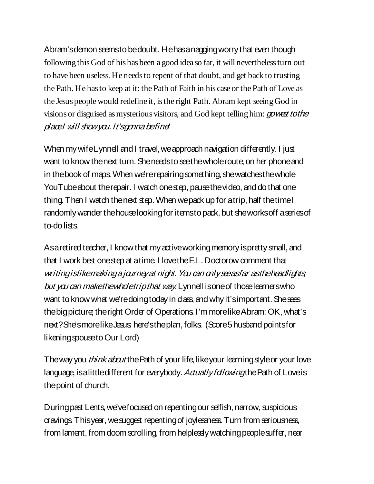Abram's demon seems to be doubt. He has a nagging worry that even though following this God of his has been a good idea so far, it will nevertheless turn out to have been useless. He needs to repent of that doubt, and get back to trusting the Path. He has to keep at it: the Path of Faith in his case or the Path of Love as the Jesus people would redefine it, is the right Path. Abram kept seeing God in visions or disguised as mysterious visitors, and God kept telling him: *gowest to the* place I will show you. It's gonna befine

When my wife Lynnell and I travel, we approach navigation differently. I just want to know the next turn. She needs to see the whole route, on her phone and in the book of maps. When we're repairing something, she watches the whole YouTube about the repair. I watch one step, pause the video, and do that one thing. Then I watch the next step. When we pack up for a trip, half the time I randomly wander the house looking for items to pack, but she works off a series of to-do lists

As a retired teacher, I know that my active working memory is pretty small, and that I work best one step at a time. I love the E.L. Doctorow comment that writing is like making a journey at night. You can only see as far as the headlights but you can make the whole trip that way. Lynnell is one of those learners who want to know what we'redoing today in class, and why it's important. She sees the bigpicture; the right Order of Operations. I'm more like Abram: OK, what's next? She's more like Jesus: here's the plan, folks. (Score 5 husband points for likening spouse to Our Lord)

The way you *think about* the Path of your life, like your learning style or your love language, is a little different for everybody. Actually following the Path of Love is the point of church.

During past Lents, we've focused on repenting our selfish, narrow, suspicious cravings. This year, we suggest repenting of joylessness.Turn from seriousness, from lament, from doom scrolling, from helplessly watching people suffer, near